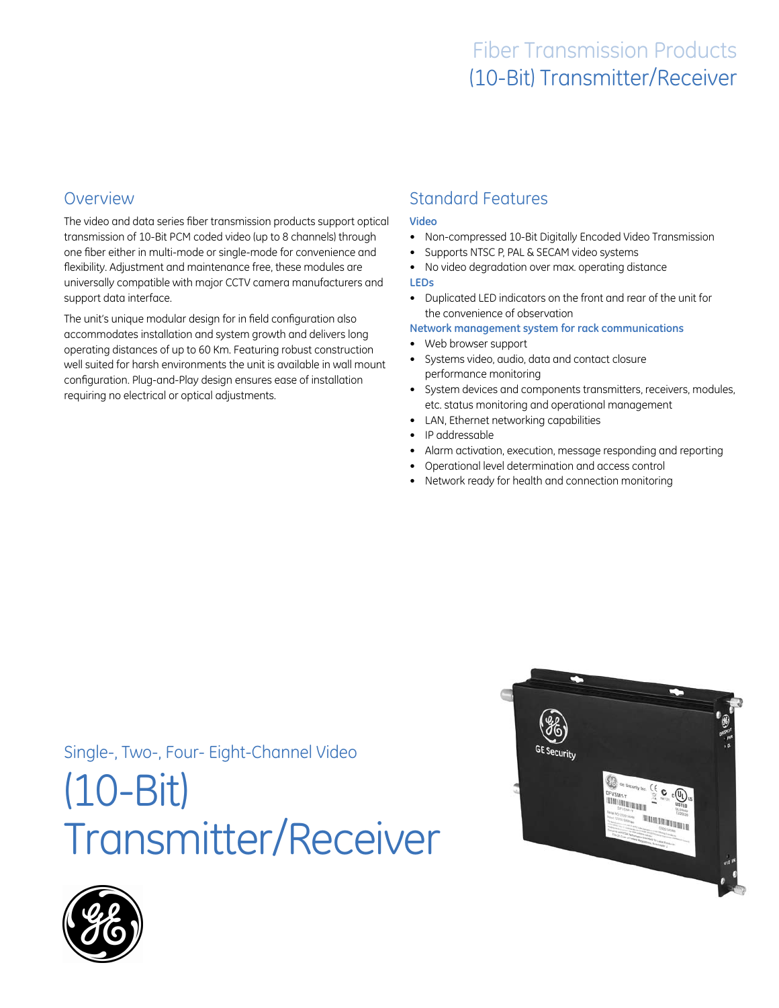## **Overview**

The video and data series fiber transmission products support optical transmission of 10-Bit PCM coded video (up to 8 channels) through one fiber either in multi-mode or single-mode for convenience and flexibility. Adjustment and maintenance free, these modules are universally compatible with major CCTV camera manufacturers and support data interface.

The unit's unique modular design for in field configuration also accommodates installation and system growth and delivers long operating distances of up to 60 Km. Featuring robust construction well suited for harsh environments the unit is available in wall mount configuration. Plug-and-Play design ensures ease of installation requiring no electrical or optical adjustments.

# Standard Features

#### **Video**

- • Non-compressed 10-Bit Digitally Encoded Video Transmission
- Supports NTSC P, PAL & SECAM video systems
- No video degradation over max. operating distance **LEDs**
- • Duplicated LED indicators on the front and rear of the unit for the convenience of observation

**Network management system for rack communications**

- • Web browser support
- • Systems video, audio, data and contact closure performance monitoring
- System devices and components transmitters, receivers, modules, etc. status monitoring and operational management
- LAN, Ethernet networking capabilities
- IP addressable
- Alarm activation, execution, message responding and reporting
- Operational level determination and access control
- Network ready for health and connection monitoring

Single-, Two-, Four- Eight-Channel Video

# (10-Bit) Transmitter/Receiver



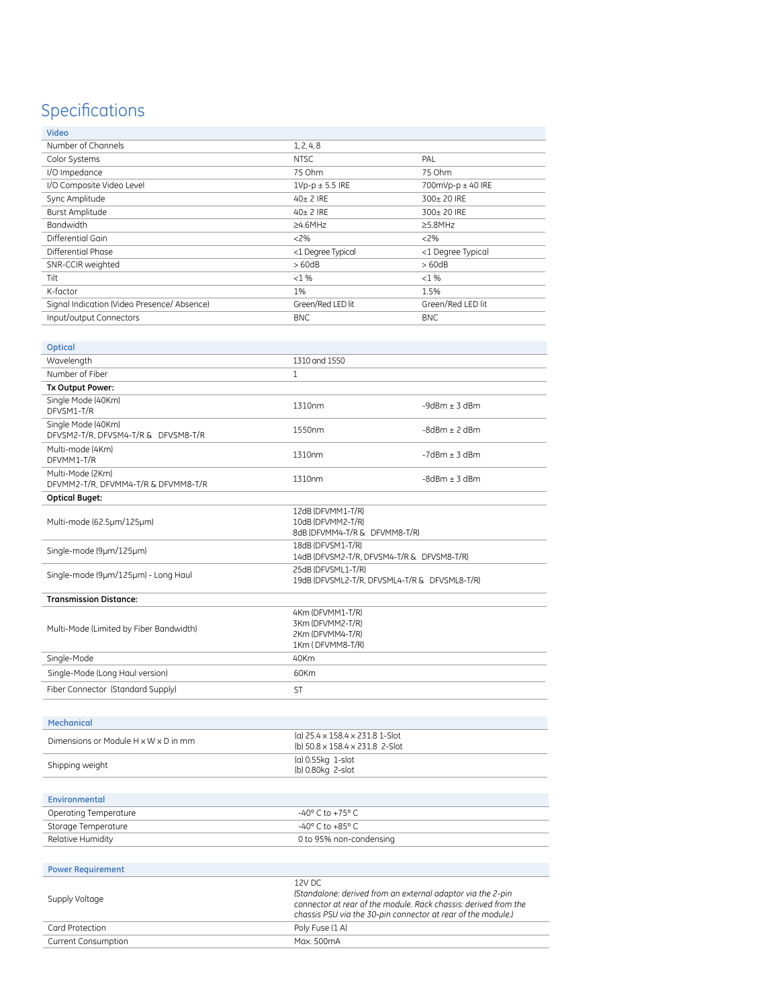# Specifications

| o | - |
|---|---|

| Video                                                     |                                                                         |                    |  |
|-----------------------------------------------------------|-------------------------------------------------------------------------|--------------------|--|
| Number of Channels                                        | 1, 2, 4, 8                                                              |                    |  |
| Color Systems                                             | NTSC                                                                    | PAL                |  |
| I/O Impedance                                             | 75 Ohm                                                                  | 75 Ohm             |  |
| I/O Composite Video Level                                 | $1Vp-p \pm 5.5$ IRE                                                     | 700mVp-p ± 40 IRE  |  |
| Sync Amplitude                                            | 40± 2 IRE                                                               | 300± 20 IRE        |  |
| <b>Burst Amplitude</b>                                    | $40+2$ IRE                                                              | 300+20 IRE         |  |
| <b>Bandwidth</b>                                          | $>4.6$ MHz                                                              | >5.8MHz            |  |
| Differential Gain                                         | $<2\%$                                                                  | $<2\%$             |  |
| Differential Phase                                        | <1 Degree Typical                                                       | <1 Degree Typical  |  |
| SNR-CCIR weighted                                         | >60dB                                                                   | >60dB              |  |
| Tilt                                                      | $< 1\%$                                                                 | $< 1\%$            |  |
| K-factor                                                  | 1%                                                                      | 1.5%               |  |
| Signal Indication (Video Presence/ Absence)               | Green/Red LED lit                                                       | Green/Red LED lit  |  |
| Input/output Connectors                                   | <b>BNC</b>                                                              | <b>BNC</b>         |  |
|                                                           |                                                                         |                    |  |
| Optical                                                   |                                                                         |                    |  |
| Wavelength                                                | 1310 and 1550                                                           |                    |  |
| Number of Fiber                                           | 1                                                                       |                    |  |
| Tx Output Power:                                          |                                                                         |                    |  |
| Single Mode (40Km)<br>DFVSM1-T/R                          | 1310nm                                                                  | $-9d$ Bm $+$ 3 dBm |  |
| Single Mode (40Km)<br>DFVSM2-T/R. DFVSM4-T/R & DFVSM8-T/R | 1550nm                                                                  | $-8d$ Bm $+ 2d$ Bm |  |
| Multi-mode (4Km)<br>DFVMM1-T/R                            | 1310nm                                                                  | $-7d$ Bm $+$ 3 dBm |  |
| Multi-Mode (2Km)<br>DFVMM2-T/R. DFVMM4-T/R & DFVMM8-T/R   | 1310nm                                                                  | $-8d$ Bm $+$ 3 dBm |  |
| <b>Optical Buget:</b>                                     |                                                                         |                    |  |
| Multi-mode (62.5µm/125µm)                                 | 12dB (DFVMM1-T/R)<br>10dB (DFVMM2-T/R)<br>8dB (DFVMM4-T/R & DFVMM8-T/R) |                    |  |
| Single-mode (9µm/125µm)                                   | 18dB (DFVSM1-T/R)<br>14dB (DFVSM2-T/R, DFVSM4-T/R & DFVSM8-T/R)         |                    |  |
| Single-mode (9µm/125µm) - Long Haul                       | 25dB (DFVSML1-T/R)<br>19dB (DFVSML2-T/R, DFVSML4-T/R & DFVSML8-T/R)     |                    |  |

 $\overline{\phantom{a}}$ 

| <b>Transmission Distance:</b>           |                                                                              |  |
|-----------------------------------------|------------------------------------------------------------------------------|--|
| Multi-Mode (Limited by Fiber Bandwidth) | 4Km (DFVMM1-T/R)<br>3Km (DFVMM2-T/R)<br>2Km (DFVMM4-T/R)<br>1Km (DFVMM8-T/R) |  |
| Single-Mode                             | 40 <sub>Km</sub>                                                             |  |
| Single-Mode (Long Haul version)         | 60 <sub>Km</sub>                                                             |  |
| Fiber Connector (Standard Supply)       | ST                                                                           |  |

 $\overline{\phantom{a}}$ 

| (a) 25.4 x 158.4 x 231.8 1-Slot<br>(b) 50.8 x 158.4 x 231.8 2-Slot |  |  |
|--------------------------------------------------------------------|--|--|
| (a) 0.55kg 1-slot<br>(b) 0.80kg 2-slot                             |  |  |
|                                                                    |  |  |

| Environmental         |                         |  |
|-----------------------|-------------------------|--|
| Operating Temperature | -40° C to +75° C        |  |
| Storage Temperature   | -40° C to +85° C        |  |
| Relative Humidity     | 0 to 95% non-condensing |  |

| <b>Power Requirement</b>   |                                                                                                                                                                                                          |  |  |  |
|----------------------------|----------------------------------------------------------------------------------------------------------------------------------------------------------------------------------------------------------|--|--|--|
| Supply Voltage             | 12V DC<br>(Standalone: derived from an external adaptor via the 2-pin<br>connector at rear of the module. Rack chassis: derived from the<br>chassis PSU via the 30-pin connector at rear of the module.) |  |  |  |
| Card Protection            | Poly Fuse (1 A)                                                                                                                                                                                          |  |  |  |
| <b>Current Consumption</b> | Max. 500mA                                                                                                                                                                                               |  |  |  |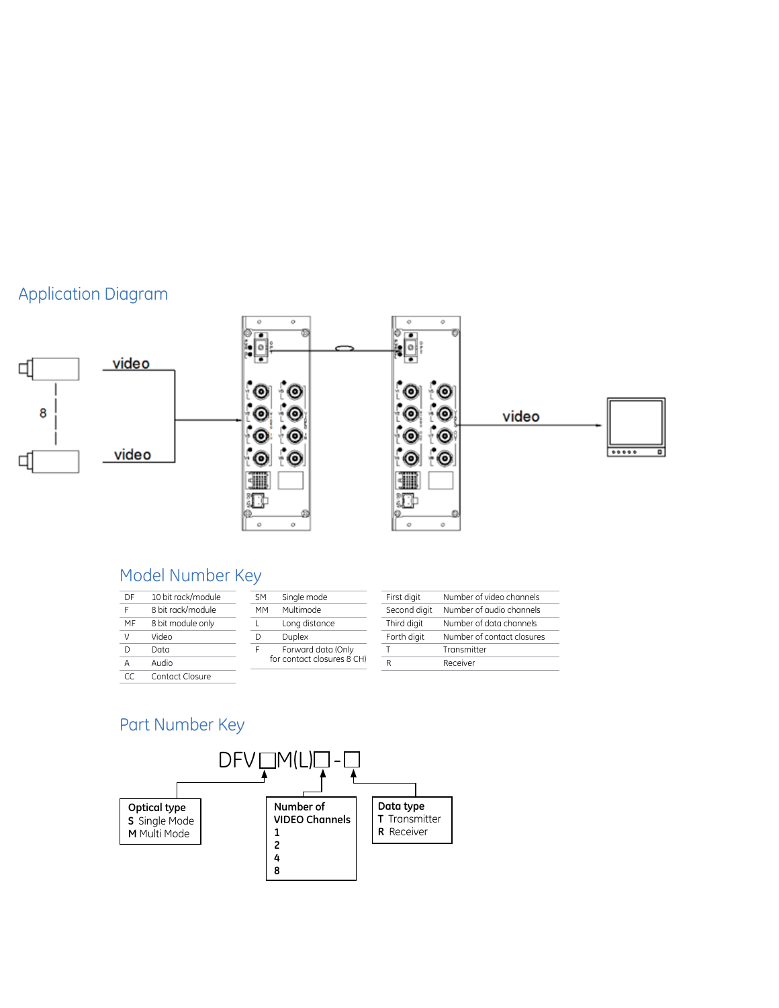# Application Diagram



# Model Number Key

| DF | 10 bit rack/module |
|----|--------------------|
| Ė  | 8 bit rack/module  |
| MF | 8 bit module only  |
| V  | Video              |
| D  | Data               |
| Α  | Audio              |
| CС | Contact Closure    |

| Single mode<br><b>SM</b> |                            | First digit  | Number   |
|--------------------------|----------------------------|--------------|----------|
| <b>MM</b>                | Multimode                  | Second digit | Number   |
| $\mathbf{L}$             | Long distance              | Third digit  | Number   |
| D                        | <b>Duplex</b>              | Forth digit  | Number   |
| F                        | Forward data (Only         |              | Transmit |
|                          | for contact closures 8 CH) | R            | Receiver |

| First digit  | Number of video channels   |
|--------------|----------------------------|
| Second digit | Number of audio channels   |
| Third digit  | Number of data channels    |
| Forth digit  | Number of contact closures |
|              | Transmitter                |
|              | Receiver                   |

## Part Number Key